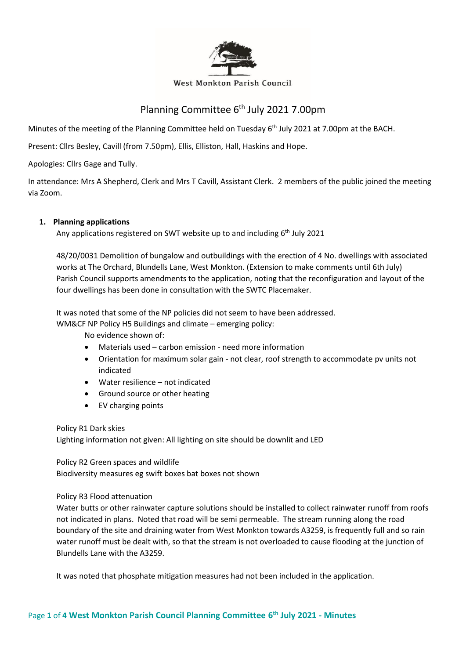

#### West Monkton Parish Council

# Planning Committee 6<sup>th</sup> July 2021 7.00pm

Minutes of the meeting of the Planning Committee held on Tuesday 6<sup>th</sup> July 2021 at 7.00pm at the BACH.

Present: Cllrs Besley, Cavill (from 7.50pm), Ellis, Elliston, Hall, Haskins and Hope.

Apologies: Cllrs Gage and Tully.

In attendance: Mrs A Shepherd, Clerk and Mrs T Cavill, Assistant Clerk. 2 members of the public joined the meeting via Zoom.

### **1. Planning applications**

Any applications registered on SWT website up to and including 6<sup>th</sup> July 2021

48/20/0031 Demolition of bungalow and outbuildings with the erection of 4 No. dwellings with associated works at The Orchard, Blundells Lane, West Monkton. (Extension to make comments until 6th July) Parish Council supports amendments to the application, noting that the reconfiguration and layout of the four dwellings has been done in consultation with the SWTC Placemaker.

It was noted that some of the NP policies did not seem to have been addressed.

WM&CF NP Policy H5 Buildings and climate – emerging policy:

No evidence shown of:

- Materials used carbon emission need more information
- Orientation for maximum solar gain not clear, roof strength to accommodate pv units not indicated
- Water resilience not indicated
- Ground source or other heating
- EV charging points

Policy R1 Dark skies Lighting information not given: All lighting on site should be downlit and LED

Policy R2 Green spaces and wildlife Biodiversity measures eg swift boxes bat boxes not shown

#### Policy R3 Flood attenuation

Water butts or other rainwater capture solutions should be installed to collect rainwater runoff from roofs not indicated in plans. Noted that road will be semi permeable. The stream running along the road boundary of the site and draining water from West Monkton towards A3259, is frequently full and so rain water runoff must be dealt with, so that the stream is not overloaded to cause flooding at the junction of Blundells Lane with the A3259.

It was noted that phosphate mitigation measures had not been included in the application.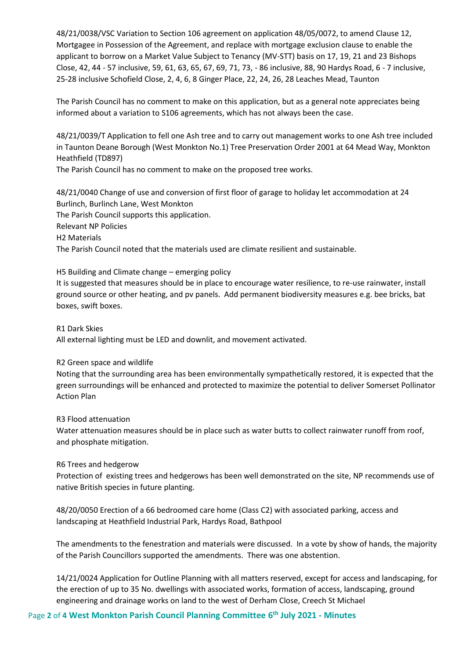48/21/0038/VSC Variation to Section 106 agreement on application 48/05/0072, to amend Clause 12, Mortgagee in Possession of the Agreement, and replace with mortgage exclusion clause to enable the applicant to borrow on a Market Value Subject to Tenancy (MV-STT) basis on 17, 19, 21 and 23 Bishops Close, 42, 44 - 57 inclusive, 59, 61, 63, 65, 67, 69, 71, 73, - 86 inclusive, 88, 90 Hardys Road, 6 - 7 inclusive, 25-28 inclusive Schofield Close, 2, 4, 6, 8 Ginger Place, 22, 24, 26, 28 Leaches Mead, Taunton

The Parish Council has no comment to make on this application, but as a general note appreciates being informed about a variation to S106 agreements, which has not always been the case.

48/21/0039/T Application to fell one Ash tree and to carry out management works to one Ash tree included in Taunton Deane Borough (West Monkton No.1) Tree Preservation Order 2001 at 64 Mead Way, Monkton Heathfield (TD897)

The Parish Council has no comment to make on the proposed tree works.

48/21/0040 Change of use and conversion of first floor of garage to holiday let accommodation at 24 Burlinch, Burlinch Lane, West Monkton The Parish Council supports this application. Relevant NP Policies H2 Materials The Parish Council noted that the materials used are climate resilient and sustainable.

H5 Building and Climate change – emerging policy

It is suggested that measures should be in place to encourage water resilience, to re-use rainwater, install ground source or other heating, and pv panels. Add permanent biodiversity measures e.g. bee bricks, bat boxes, swift boxes.

R1 Dark Skies

All external lighting must be LED and downlit, and movement activated.

#### R2 Green space and wildlife

Noting that the surrounding area has been environmentally sympathetically restored, it is expected that the green surroundings will be enhanced and protected to maximize the potential to deliver Somerset Pollinator Action Plan

R3 Flood attenuation

Water attenuation measures should be in place such as water butts to collect rainwater runoff from roof, and phosphate mitigation.

#### R6 Trees and hedgerow

Protection of existing trees and hedgerows has been well demonstrated on the site, NP recommends use of native British species in future planting.

48/20/0050 Erection of a 66 bedroomed care home (Class C2) with associated parking, access and landscaping at Heathfield Industrial Park, Hardys Road, Bathpool

The amendments to the fenestration and materials were discussed. In a vote by show of hands, the majority of the Parish Councillors supported the amendments. There was one abstention.

14/21/0024 Application for Outline Planning with all matters reserved, except for access and landscaping, for the erection of up to 35 No. dwellings with associated works, formation of access, landscaping, ground engineering and drainage works on land to the west of Derham Close, Creech St Michael

Page **2** of **4 West Monkton Parish Council Planning Committee 6 th July 2021 - Minutes**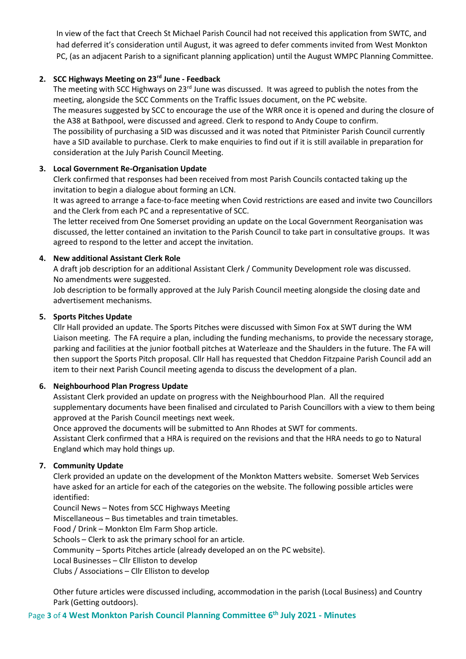In view of the fact that Creech St Michael Parish Council had not received this application from SWTC, and had deferred it's consideration until August, it was agreed to defer comments invited from West Monkton PC, (as an adjacent Parish to a significant planning application) until the August WMPC Planning Committee.

### **2. SCC Highways Meeting on 23rd June - Feedback**

The meeting with SCC Highways on 23<sup>rd</sup> June was discussed. It was agreed to publish the notes from the meeting, alongside the SCC Comments on the Traffic Issues document, on the PC website. The measures suggested by SCC to encourage the use of the WRR once it is opened and during the closure of the A38 at Bathpool, were discussed and agreed. Clerk to respond to Andy Coupe to confirm. The possibility of purchasing a SID was discussed and it was noted that Pitminister Parish Council currently have a SID available to purchase. Clerk to make enquiries to find out if it is still available in preparation for consideration at the July Parish Council Meeting.

### **3. Local Government Re-Organisation Update**

Clerk confirmed that responses had been received from most Parish Councils contacted taking up the invitation to begin a dialogue about forming an LCN.

It was agreed to arrange a face-to-face meeting when Covid restrictions are eased and invite two Councillors and the Clerk from each PC and a representative of SCC.

The letter received from One Somerset providing an update on the Local Government Reorganisation was discussed, the letter contained an invitation to the Parish Council to take part in consultative groups. It was agreed to respond to the letter and accept the invitation.

### **4. New additional Assistant Clerk Role**

A draft job description for an additional Assistant Clerk / Community Development role was discussed. No amendments were suggested.

Job description to be formally approved at the July Parish Council meeting alongside the closing date and advertisement mechanisms.

### **5. Sports Pitches Update**

Cllr Hall provided an update. The Sports Pitches were discussed with Simon Fox at SWT during the WM Liaison meeting. The FA require a plan, including the funding mechanisms, to provide the necessary storage, parking and facilities at the junior football pitches at Waterleaze and the Shaulders in the future. The FA will then support the Sports Pitch proposal. Cllr Hall has requested that Cheddon Fitzpaine Parish Council add an item to their next Parish Council meeting agenda to discuss the development of a plan.

# **6. Neighbourhood Plan Progress Update**

Assistant Clerk provided an update on progress with the Neighbourhood Plan. All the required supplementary documents have been finalised and circulated to Parish Councillors with a view to them being approved at the Parish Council meetings next week.

Once approved the documents will be submitted to Ann Rhodes at SWT for comments. Assistant Clerk confirmed that a HRA is required on the revisions and that the HRA needs to go to Natural England which may hold things up.

# **7. Community Update**

Clerk provided an update on the development of the Monkton Matters website. Somerset Web Services have asked for an article for each of the categories on the website. The following possible articles were identified:

Council News – Notes from SCC Highways Meeting Miscellaneous – Bus timetables and train timetables. Food / Drink – Monkton Elm Farm Shop article. Schools – Clerk to ask the primary school for an article. Community – Sports Pitches article (already developed an on the PC website). Local Businesses – Cllr Elliston to develop Clubs / Associations – Cllr Elliston to develop

Other future articles were discussed including, accommodation in the parish (Local Business) and Country Park (Getting outdoors).

# Page **3** of **4 West Monkton Parish Council Planning Committee 6 th July 2021 - Minutes**